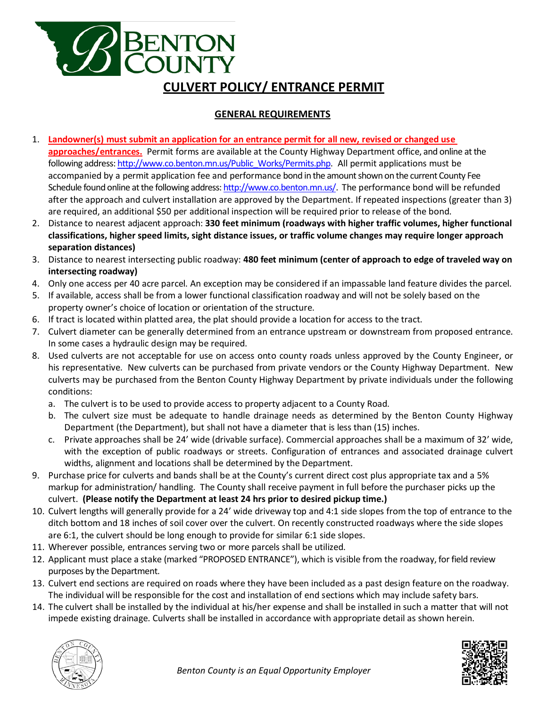## **BENTON**<br>COUNTY **CULVERT POLICY/ ENTRANCE PERMIT**

## **GENERAL REQUIREMENTS**

- 1. **Landowner(s) must submit an application for an entrance permit for all new, revised or changed use approaches/entrances.** Permit forms are available at the County Highway Department office, and online at the following address[: http://www.co.benton.mn.us/Public\\_Works/Permits.php.](http://www.co.benton.mn.us/Public_Works/Permits.php) All permit applications must be accompanied by a permit application fee and performance bond in the amount shown on the current County Fee Schedule found online at the following address[: http://www.co.benton.mn.us/.](http://www.co.benton.mn.us/) The performance bond will be refunded after the approach and culvert installation are approved by the Department. If repeated inspections (greater than 3) are required, an additional \$50 per additional inspection will be required prior to release of the bond.
- 2. Distance to nearest adjacent approach: **330 feet minimum (roadways with higher traffic volumes, higher functional classifications, higher speed limits, sight distance issues, or traffic volume changes may require longer approach separation distances)**
- 3. Distance to nearest intersecting public roadway: **480 feet minimum (center of approach to edge of traveled way on intersecting roadway)**
- 4. Only one access per 40 acre parcel. An exception may be considered if an impassable land feature divides the parcel.
- 5. If available, access shall be from a lower functional classification roadway and will not be solely based on the property owner's choice of location or orientation of the structure.
- 6. If tract is located within platted area, the plat should provide a location for access to the tract.
- 7. Culvert diameter can be generally determined from an entrance upstream or downstream from proposed entrance. In some cases a hydraulic design may be required.
- 8. Used culverts are not acceptable for use on access onto county roads unless approved by the County Engineer, or his representative. New culverts can be purchased from private vendors or the County Highway Department. New culverts may be purchased from the Benton County Highway Department by private individuals under the following conditions:
	- a. The culvert is to be used to provide access to property adjacent to a County Road.
	- b. The culvert size must be adequate to handle drainage needs as determined by the Benton County Highway Department (the Department), but shall not have a diameter that is less than (15) inches.
	- c. Private approaches shall be 24' wide (drivable surface). Commercial approaches shall be a maximum of 32' wide, with the exception of public roadways or streets. Configuration of entrances and associated drainage culvert widths, alignment and locations shall be determined by the Department.
- 9. Purchase price for culverts and bands shall be at the County's current direct cost plus appropriate tax and a 5% markup for administration/ handling. The County shall receive payment in full before the purchaser picks up the culvert. **(Please notify the Department at least 24 hrs prior to desired pickup time.)**
- 10. Culvert lengths will generally provide for a 24' wide driveway top and 4:1 side slopes from the top of entrance to the ditch bottom and 18 inches of soil cover over the culvert. On recently constructed roadways where the side slopes are 6:1, the culvert should be long enough to provide for similar 6:1 side slopes.
- 11. Wherever possible, entrances serving two or more parcels shall be utilized.
- 12. Applicant must place a stake (marked "PROPOSED ENTRANCE"), which is visible from the roadway, for field review purposes by the Department.
- 13. Culvert end sections are required on roads where they have been included as a past design feature on the roadway. The individual will be responsible for the cost and installation of end sections which may include safety bars.
- 14. The culvert shall be installed by the individual at his/her expense and shall be installed in such a matter that will not impede existing drainage. Culverts shall be installed in accordance with appropriate detail as shown herein.



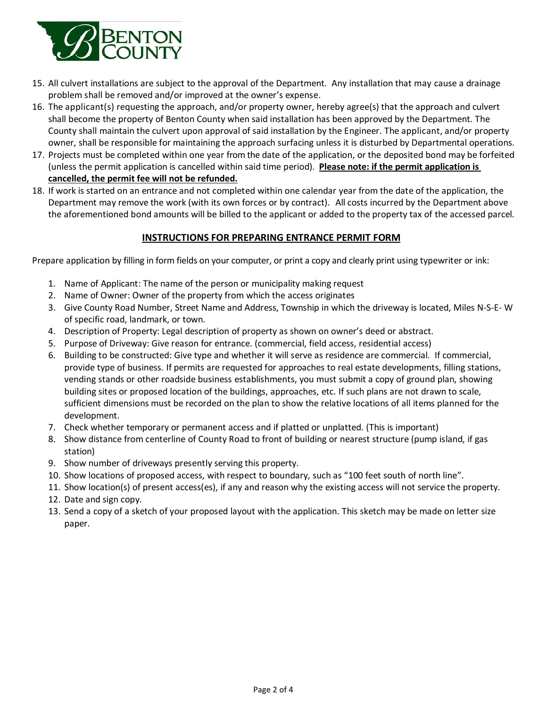

- 15. All culvert installations are subject to the approval of the Department. Any installation that may cause a drainage problem shall be removed and/or improved at the owner's expense.
- 16. The applicant(s) requesting the approach, and/or property owner, hereby agree(s) that the approach and culvert shall become the property of Benton County when said installation has been approved by the Department. The County shall maintain the culvert upon approval of said installation by the Engineer. The applicant, and/or property owner, shall be responsible for maintaining the approach surfacing unless it is disturbed by Departmental operations.
- 17. Projects must be completed within one year from the date of the application, or the deposited bond may be forfeited (unless the permit application is cancelled within said time period). **Please note: if the permit application is cancelled, the permit fee will not be refunded.**
- 18. If work is started on an entrance and not completed within one calendar year from the date of the application, the Department may remove the work (with its own forces or by contract). All costs incurred by the Department above the aforementioned bond amounts will be billed to the applicant or added to the property tax of the accessed parcel.

## **INSTRUCTIONS FOR PREPARING ENTRANCE PERMIT FORM**

Prepare application by filling in form fields on your computer, or print a copy and clearly print using typewriter or ink:

- 1. Name of Applicant: The name of the person or municipality making request
- 2. Name of Owner: Owner of the property from which the access originates
- 3. Give County Road Number, Street Name and Address, Township in which the driveway is located, Miles N-S-E- W of specific road, landmark, or town.
- 4. Description of Property: Legal description of property as shown on owner's deed or abstract.
- 5. Purpose of Driveway: Give reason for entrance. (commercial, field access, residential access)
- 6. Building to be constructed: Give type and whether it will serve as residence are commercial. If commercial, provide type of business. If permits are requested for approaches to real estate developments, filling stations, vending stands or other roadside business establishments, you must submit a copy of ground plan, showing building sites or proposed location of the buildings, approaches, etc. If such plans are not drawn to scale, sufficient dimensions must be recorded on the plan to show the relative locations of all items planned for the development.
- 7. Check whether temporary or permanent access and if platted or unplatted. (This is important)
- 8. Show distance from centerline of County Road to front of building or nearest structure (pump island, if gas station)
- 9. Show number of driveways presently serving this property.
- 10. Show locations of proposed access, with respect to boundary, such as "100 feet south of north line".
- 11. Show location(s) of present access(es), if any and reason why the existing access will not service the property.
- 12. Date and sign copy.
- 13. Send a copy of a sketch of your proposed layout with the application. This sketch may be made on letter size paper.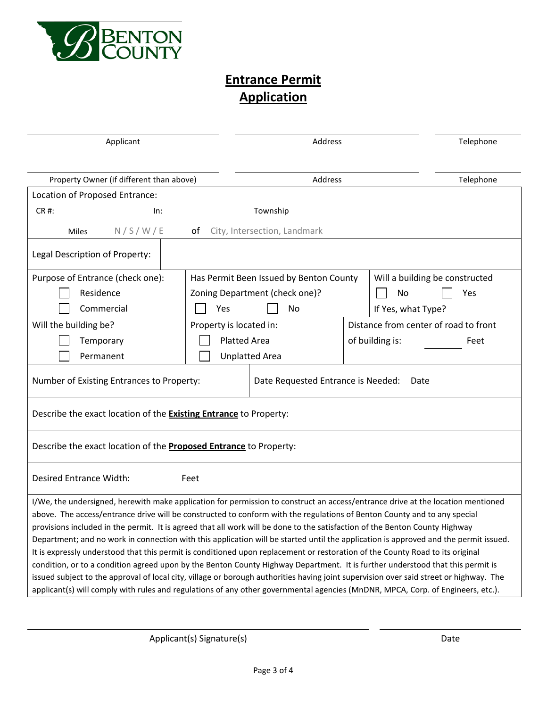

## **Entrance Permit Application**

| Applicant                                                                                                                                                                                                                                                             |                                         | Address                      |  |                                       | Telephone |  |
|-----------------------------------------------------------------------------------------------------------------------------------------------------------------------------------------------------------------------------------------------------------------------|-----------------------------------------|------------------------------|--|---------------------------------------|-----------|--|
| Property Owner (if different than above)                                                                                                                                                                                                                              |                                         | Address                      |  |                                       | Telephone |  |
| Location of Proposed Entrance:                                                                                                                                                                                                                                        |                                         |                              |  |                                       |           |  |
| CR #:<br>In:                                                                                                                                                                                                                                                          |                                         | Township                     |  |                                       |           |  |
| N/S/W/E<br>Miles                                                                                                                                                                                                                                                      | of                                      | City, Intersection, Landmark |  |                                       |           |  |
| Legal Description of Property:                                                                                                                                                                                                                                        |                                         |                              |  |                                       |           |  |
| Purpose of Entrance (check one):                                                                                                                                                                                                                                      | Has Permit Been Issued by Benton County |                              |  | Will a building be constructed        |           |  |
| Residence                                                                                                                                                                                                                                                             | Zoning Department (check one)?          |                              |  | No                                    | Yes       |  |
| Commercial                                                                                                                                                                                                                                                            | Yes                                     | No                           |  | If Yes, what Type?                    |           |  |
| Will the building be?                                                                                                                                                                                                                                                 | Property is located in:                 |                              |  | Distance from center of road to front |           |  |
| Temporary                                                                                                                                                                                                                                                             | <b>Platted Area</b>                     |                              |  | of building is:                       | Feet      |  |
| Permanent                                                                                                                                                                                                                                                             |                                         | <b>Unplatted Area</b>        |  |                                       |           |  |
| Number of Existing Entrances to Property:<br>Date Requested Entrance is Needed:<br>Date                                                                                                                                                                               |                                         |                              |  |                                       |           |  |
| Describe the exact location of the <b>Existing Entrance</b> to Property:                                                                                                                                                                                              |                                         |                              |  |                                       |           |  |
| Describe the exact location of the <b>Proposed Entrance</b> to Property:                                                                                                                                                                                              |                                         |                              |  |                                       |           |  |
| Desired Entrance Width:<br>Feet                                                                                                                                                                                                                                       |                                         |                              |  |                                       |           |  |
| I/We, the undersigned, herewith make application for permission to construct an access/entrance drive at the location mentioned                                                                                                                                       |                                         |                              |  |                                       |           |  |
| above. The access/entrance drive will be constructed to conform with the regulations of Benton County and to any special                                                                                                                                              |                                         |                              |  |                                       |           |  |
| provisions included in the permit. It is agreed that all work will be done to the satisfaction of the Benton County Highway                                                                                                                                           |                                         |                              |  |                                       |           |  |
| Department; and no work in connection with this application will be started until the application is approved and the permit issued.<br>It is expressly understood that this permit is conditioned upon replacement or restoration of the County Road to its original |                                         |                              |  |                                       |           |  |
| condition, or to a condition agreed upon by the Benton County Highway Department. It is further understood that this permit is                                                                                                                                        |                                         |                              |  |                                       |           |  |
| issued subject to the approval of local city, village or borough authorities having joint supervision over said street or highway. The                                                                                                                                |                                         |                              |  |                                       |           |  |
| applicant(s) will comply with rules and regulations of any other governmental agencies (MnDNR, MPCA, Corp. of Engineers, etc.).                                                                                                                                       |                                         |                              |  |                                       |           |  |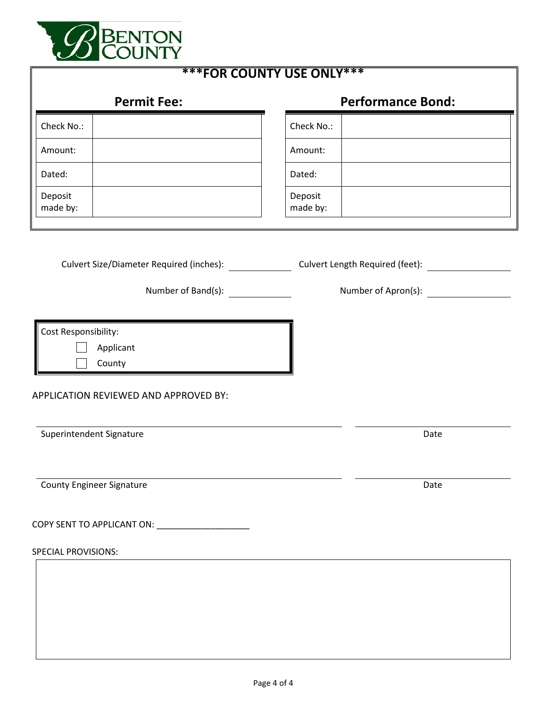

| <b>***FOR COUNTY USE ONLY***</b>                                                     |                                                                                                 |  |  |  |
|--------------------------------------------------------------------------------------|-------------------------------------------------------------------------------------------------|--|--|--|
| <b>Permit Fee:</b>                                                                   | <b>Performance Bond:</b>                                                                        |  |  |  |
| Check No.:                                                                           | Check No.:                                                                                      |  |  |  |
| Amount:                                                                              | Amount:                                                                                         |  |  |  |
| Dated:                                                                               | Dated:                                                                                          |  |  |  |
| Deposit<br>made by:                                                                  | Deposit<br>made by:                                                                             |  |  |  |
| Number of Band(s): ________                                                          | Culvert Size/Diameter Required (inches): Culvert Length Required (feet):<br>Number of Apron(s): |  |  |  |
| Cost Responsibility:<br>Applicant<br>County<br>APPLICATION REVIEWED AND APPROVED BY: |                                                                                                 |  |  |  |
| Superintendent Signature                                                             | Date                                                                                            |  |  |  |
| <b>County Engineer Signature</b>                                                     | Date                                                                                            |  |  |  |
|                                                                                      |                                                                                                 |  |  |  |
| <b>SPECIAL PROVISIONS:</b>                                                           |                                                                                                 |  |  |  |
|                                                                                      |                                                                                                 |  |  |  |
|                                                                                      |                                                                                                 |  |  |  |
|                                                                                      |                                                                                                 |  |  |  |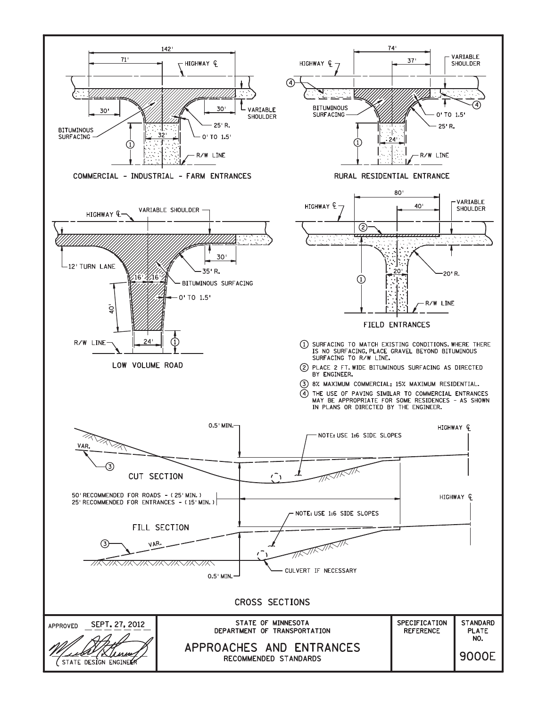